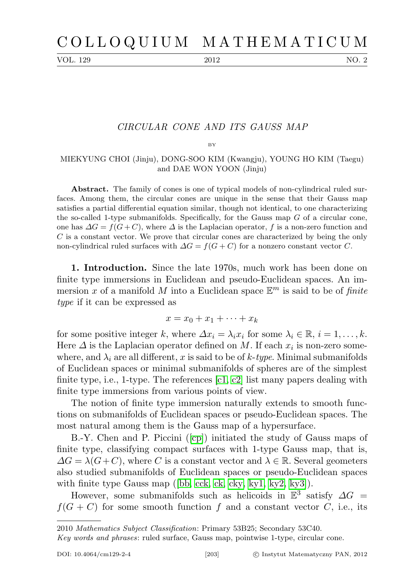VOL. 129 2012 NO. 2

## CIRCULAR CONE AND ITS GAUSS MAP

BY

## MIEKYUNG CHOI (Jinju), DONG-SOO KIM (Kwangju), YOUNG HO KIM (Taegu) and DAE WON YOON (Jinju)

Abstract. The family of cones is one of typical models of non-cylindrical ruled surfaces. Among them, the circular cones are unique in the sense that their Gauss map satisfies a partial differential equation similar, though not identical, to one characterizing the so-called 1-type submanifolds. Specifically, for the Gauss map  $G$  of a circular cone, one has  $\Delta G = f(G+C)$ , where  $\Delta$  is the Laplacian operator, f is a non-zero function and C is a constant vector. We prove that circular cones are characterized by being the only non-cylindrical ruled surfaces with  $\Delta G = f(G+C)$  for a nonzero constant vector C.

1. Introduction. Since the late 1970s, much work has been done on finite type immersions in Euclidean and pseudo-Euclidean spaces. An immersion x of a manifold M into a Euclidean space  $\mathbb{E}^m$  is said to be of finite type if it can be expressed as

$$
x = x_0 + x_1 + \dots + x_k
$$

for some positive integer k, where  $\Delta x_i = \lambda_i x_i$  for some  $\lambda_i \in \mathbb{R}, i = 1, \ldots, k$ . Here  $\Delta$  is the Laplacian operator defined on M. If each  $x_i$  is non-zero somewhere, and  $\lambda_i$  are all different, x is said to be of k-type. Minimal submanifolds of Euclidean spaces or minimal submanifolds of spheres are of the simplest finite type, i.e., 1-type. The references [\[c1,](#page-7-0) [c2\]](#page-7-1) list many papers dealing with finite type immersions from various points of view.

The notion of finite type immersion naturally extends to smooth functions on submanifolds of Euclidean spaces or pseudo-Euclidean spaces. The most natural among them is the Gauss map of a hypersurface.

B.-Y. Chen and P. Piccini ([\[cp\]](#page-7-2)) initiated the study of Gauss maps of finite type, classifying compact surfaces with 1-type Gauss map, that is,  $\Delta G = \lambda (G+C)$ , where C is a constant vector and  $\lambda \in \mathbb{R}$ . Several geometers also studied submanifolds of Euclidean spaces or pseudo-Euclidean spaces with finite type Gauss map ([\[bb,](#page-7-3) [cck,](#page-7-4) [ck,](#page-7-5) [cky,](#page-7-6) [ky1,](#page-7-7) [ky2,](#page-7-8) [ky3\]](#page-7-9)).

However, some submanifolds such as helicoids in  $\mathbb{E}^3$  satisfy  $\Delta G =$  $f(G+C)$  for some smooth function f and a constant vector C, i.e., its

<sup>2010</sup> Mathematics Subject Classification: Primary 53B25; Secondary 53C40.

Key words and phrases: ruled surface, Gauss map, pointwise 1-type, circular cone.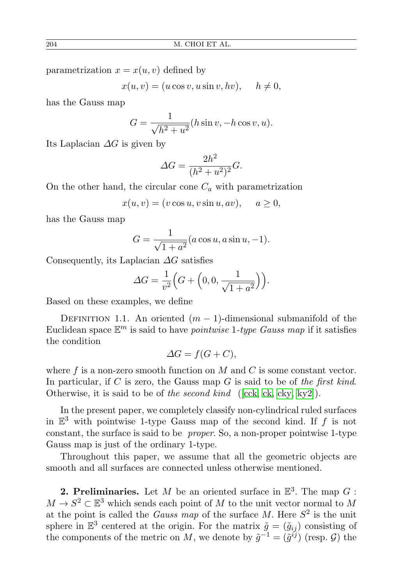parametrization  $x = x(u, v)$  defined by

$$
x(u, v) = (u \cos v, u \sin v, hv), \quad h \neq 0,
$$

has the Gauss map

$$
G = \frac{1}{\sqrt{h^2 + u^2}} (h \sin v, -h \cos v, u).
$$

Its Laplacian  $\Delta G$  is given by

$$
\Delta G = \frac{2h^2}{(h^2 + u^2)^2} G.
$$

On the other hand, the circular cone  $C_a$  with parametrization

$$
x(u, v) = (v \cos u, v \sin u, av), \quad a \ge 0,
$$

has the Gauss map

$$
G = \frac{1}{\sqrt{1 + a^2}} (a \cos u, a \sin u, -1).
$$

Consequently, its Laplacian  $\Delta G$  satisfies

$$
\Delta G = \frac{1}{v^2} \Big( G + \Big( 0, 0, \frac{1}{\sqrt{1 + a^2}} \Big) \Big).
$$

Based on these examples, we define

DEFINITION 1.1. An oriented  $(m-1)$ -dimensional submanifold of the Euclidean space  $\mathbb{E}^m$  is said to have *pointwise* 1-type Gauss map if it satisfies the condition

$$
\Delta G = f(G + C),
$$

where f is a non-zero smooth function on  $M$  and  $C$  is some constant vector. In particular, if C is zero, the Gauss map G is said to be of the first kind. Otherwise, it is said to be of the second kind ([\[cck,](#page-7-4) [ck,](#page-7-5) [cky,](#page-7-6) [ky2\]](#page-7-8)).

In the present paper, we completely classify non-cylindrical ruled surfaces in  $\mathbb{E}^3$  with pointwise 1-type Gauss map of the second kind. If f is not constant, the surface is said to be proper. So, a non-proper pointwise 1-type Gauss map is just of the ordinary 1-type.

Throughout this paper, we assume that all the geometric objects are smooth and all surfaces are connected unless otherwise mentioned.

**2. Preliminaries.** Let M be an oriented surface in  $\mathbb{E}^3$ . The map G :  $M \to S^2 \subset \mathbb{E}^3$  which sends each point of M to the unit vector normal to M at the point is called the *Gauss map* of the surface M. Here  $S^2$  is the unit sphere in  $\mathbb{E}^3$  centered at the origin. For the matrix  $\tilde{g} = (\tilde{g}_{ij})$  consisting of the components of the metric on M, we denote by  $\tilde{g}^{-1} = (\tilde{g}^{ij})$  (resp. G) the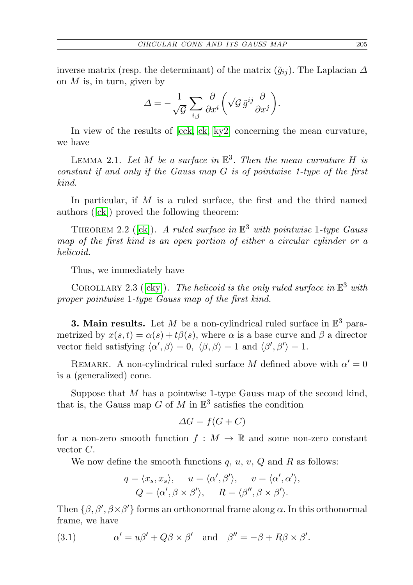inverse matrix (resp. the determinant) of the matrix  $(\tilde{g}_{ij})$ . The Laplacian  $\Delta$ on  $M$  is, in turn, given by

$$
\varDelta=-\frac{1}{\sqrt{\mathcal{G}}}\sum_{i,j}\frac{\partial}{\partial x^i}\bigg(\sqrt{\mathcal{G}}\,\tilde{g}^{ij}\frac{\partial}{\partial x^j}\bigg).
$$

In view of the results of [\[cck,](#page-7-4) [ck,](#page-7-5) [ky2\]](#page-7-8) concerning the mean curvature, we have

LEMMA 2.1. Let M be a surface in  $\mathbb{E}^3$ . Then the mean curvature H is constant if and only if the Gauss map G is of pointwise 1-type of the first kind.

In particular, if  $M$  is a ruled surface, the first and the third named authors ([\[ck\]](#page-7-5)) proved the following theorem:

THEOREM 2.2 ([\[ck\]](#page-7-5)). A ruled surface in  $\mathbb{E}^3$  with pointwise 1-type Gauss map of the first kind is an open portion of either a circular cylinder or a helicoid.

Thus, we immediately have

COROLLARY 2.3 ([\[cky\]](#page-7-6)). The helicoid is the only ruled surface in  $\mathbb{E}^3$  with proper pointwise 1-type Gauss map of the first kind.

**3. Main results.** Let M be a non-cylindrical ruled surface in  $\mathbb{E}^3$  parametrized by  $x(s, t) = \alpha(s) + t\beta(s)$ , where  $\alpha$  is a base curve and  $\beta$  a director vector field satisfying  $\langle \alpha', \beta \rangle = 0, \langle \beta, \beta \rangle = 1$  and  $\langle \beta', \beta' \rangle = 1$ .

REMARK. A non-cylindrical ruled surface M defined above with  $\alpha' = 0$ is a (generalized) cone.

Suppose that  $M$  has a pointwise 1-type Gauss map of the second kind, that is, the Gauss map  $G$  of  $M$  in  $\mathbb{E}^3$  satisfies the condition

$$
\Delta G = f(G + C)
$$

for a non-zero smooth function  $f : M \to \mathbb{R}$  and some non-zero constant vector C.

We now define the smooth functions  $q, u, v, Q$  and R as follows:

<span id="page-2-0"></span>
$$
q = \langle x_s, x_s \rangle, \quad u = \langle \alpha', \beta' \rangle, \quad v = \langle \alpha', \alpha' \rangle, Q = \langle \alpha', \beta \times \beta' \rangle, \quad R = \langle \beta'', \beta \times \beta' \rangle.
$$

Then  $\{\beta, \beta', \beta \times \beta'\}$  forms an orthonormal frame along  $\alpha$ . In this orthonormal frame, we have

(3.1) 
$$
\alpha' = u\beta' + Q\beta \times \beta' \text{ and } \beta'' = -\beta + R\beta \times \beta'.
$$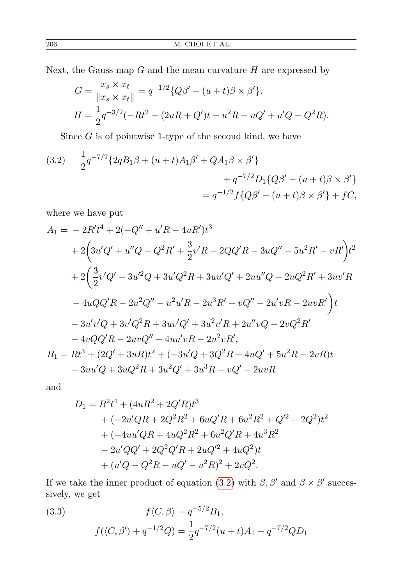Next, the Gauss map  $G$  and the mean curvature  $H$  are expressed by

$$
G = \frac{x_s \times x_t}{\|x_s \times x_t\|} = q^{-1/2} \{Q\beta' - (u+t)\beta \times \beta'\},
$$
  

$$
H = \frac{1}{2}q^{-3/2}(-Rt^2 - (2uR + Q')t - u^2R - uQ' + u'Q - Q^2R).
$$

Since  $G$  is of pointwise 1-type of the second kind, we have

<span id="page-3-0"></span>(3.2) 
$$
\frac{1}{2}q^{-7/2}\left\{2qB_1\beta + (u+t)A_1\beta' + QA_1\beta \times \beta'\right\} \n+ q^{-7/2}D_1\{Q\beta' - (u+t)\beta \times \beta'\} \n= q^{-1/2}f\{Q\beta' - (u+t)\beta \times \beta'\} + fC,
$$

where we have put

$$
A_1 = -2R't^4 + 2(-Q'' + u'R - 4uR')t^3
$$
  
+2 $\left(3u'Q' + u''Q - Q^2R' + \frac{3}{2}v'R - 2QQ'R - 3uQ'' - 5u^2R' - vR'\right)t^2$   
+2 $\left(\frac{3}{2}v'Q' - 3u'^2Q + 3u'Q^2R + 3uu'Q' + 2uu''Q - 2uQ^2R' + 3uv'R$   
-4uQQ'R - 2u<sup>2</sup>Q'' - u<sup>2</sup>u'R - 2u<sup>3</sup>R' - vQ'' - 2u'vR - 2uvR'\right)t  
-3u'v'Q + 3v'Q^2R + 3uv'Q' + 3u<sup>2</sup>v'R + 2u''vQ - 2vQ^2R'  
-4vQQ'R - 2uvQ'' - 4uu'vR - 2u<sup>2</sup>vR',  
B\_1 = Rt<sup>3</sup> + (2Q' + 3uR)t<sup>2</sup> + (-3u'Q + 3Q<sup>2</sup>R + 4uQ' + 5u<sup>2</sup>R - 2vR)t  
-3uu'Q + 3uQ<sup>2</sup>R + 3u<sup>2</sup>Q' + 3u<sup>3</sup>R - vQ' - 2uvR

and

$$
D_1 = R^2t^4 + (4uR^2 + 2Q'R)t^3
$$
  
+  $(-2u'QR + 2Q^2R^2 + 6uQ'R + 6u^2R^2 + Q'^2 + 2Q^2)t^2$   
+  $(-4uu'QR + 4uQ^2R^2 + 6u^2Q'R + 4u^3R^2$   
-  $2u'QQ' + 2Q^2Q'R + 2uQ'^2 + 4uQ^2)t$   
+  $(u'Q - Q^2R - uQ' - u^2R)^2 + 2vQ^2.$ 

If we take the inner product of equation [\(3.2\)](#page-3-0) with  $\beta$ ,  $\beta'$  and  $\beta \times \beta'$  successively, we get

<span id="page-3-1"></span>(3.3) 
$$
f\langle C, \beta \rangle = q^{-5/2} B_1,
$$

$$
f(\langle C, \beta' \rangle + q^{-1/2} Q) = \frac{1}{2} q^{-7/2} (u+t) A_1 + q^{-7/2} Q D_1
$$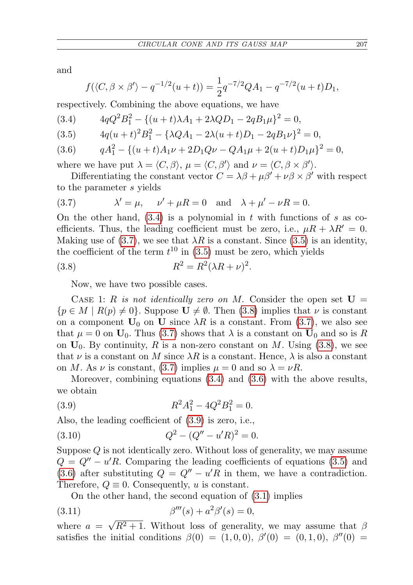and

$$
f(\langle C, \beta \times \beta' \rangle - q^{-1/2}(u+t)) = \frac{1}{2}q^{-7/2}QA_1 - q^{-7/2}(u+t)D_1,
$$

respectively. Combining the above equations, we have

<span id="page-4-0"></span>
$$
(3.4) \t 4qQ^2B_1^2 - \{(u+t)\lambda A_1 + 2\lambda QD_1 - 2qB_1\mu\}^2 = 0,
$$

<span id="page-4-2"></span>
$$
(3.5) \t 4q(u+t)^{2}B_{1}^{2} - {\lambda QA_{1} - 2\lambda(u+t)D_{1} - 2qB_{1}\nu }^{2} = 0,
$$

<span id="page-4-4"></span>
$$
(3.6) \tq A_1^2 - \{(u+t)A_1\nu + 2D_1Q\nu - QA_1\mu + 2(u+t)D_1\mu\}^2 = 0,
$$

where we have put  $\lambda = \langle C, \beta \rangle$ ,  $\mu = \langle C, \beta' \rangle$  and  $\nu = \langle C, \beta \times \beta' \rangle$ .

Differentiating the constant vector  $C = \lambda \beta + \mu \beta' + \nu \beta \times \beta'$  with respect to the parameter s yields

<span id="page-4-1"></span>(3.7) 
$$
\lambda' = \mu, \quad \nu' + \mu R = 0 \quad \text{and} \quad \lambda + \mu' - \nu R = 0.
$$

On the other hand,  $(3.4)$  is a polynomial in t with functions of s as coefficients. Thus, the leading coefficient must be zero, i.e.,  $\mu R + \lambda R' = 0$ . Making use of [\(3.7\)](#page-4-1), we see that  $\lambda R$  is a constant. Since [\(3.5\)](#page-4-2) is an identity, the coefficient of the term  $t^{10}$  in [\(3.5\)](#page-4-2) must be zero, which yields

(3.8) 
$$
R^2 = R^2(\lambda R + \nu)^2.
$$

<span id="page-4-3"></span>Now, we have two possible cases.

CASE 1: R is not identically zero on M. Consider the open set  $U =$  $\{p \in M \mid R(p) \neq 0\}$ . Suppose  $\mathbf{U} \neq \emptyset$ . Then [\(3.8\)](#page-4-3) implies that  $\nu$  is constant on a component  $U_0$  on U since  $\lambda R$  is a constant. From [\(3.7\)](#page-4-1), we also see that  $\mu = 0$  on  $\mathbf{U}_0$ . Thus [\(3.7\)](#page-4-1) shows that  $\lambda$  is a constant on  $\mathbf{U}_0$  and so is R on  $U_0$ . By continuity, R is a non-zero constant on M. Using [\(3.8\)](#page-4-3), we see that  $\nu$  is a constant on M since  $\lambda R$  is a constant. Hence,  $\lambda$  is also a constant on M. As  $\nu$  is constant, [\(3.7\)](#page-4-1) implies  $\mu = 0$  and so  $\lambda = \nu R$ .

Moreover, combining equations [\(3.4\)](#page-4-0) and [\(3.6\)](#page-4-4) with the above results, we obtain

<span id="page-4-5"></span>(3.9) 
$$
R^2 A_1^2 - 4Q^2 B_1^2 = 0.
$$

Also, the leading coefficient of [\(3.9\)](#page-4-5) is zero, i.e.,

(3.10) 
$$
Q^2 - (Q'' - u'R)^2 = 0.
$$

Suppose Q is not identically zero. Without loss of generality, we may assume  $Q = Q'' - u'R$ . Comparing the leading coefficients of equations [\(3.5\)](#page-4-2) and [\(3.6\)](#page-4-4) after substituting  $Q = Q'' - u'R$  in them, we have a contradiction. Therefore,  $Q \equiv 0$ . Consequently, u is constant.

<span id="page-4-6"></span>On the other hand, the second equation of [\(3.1\)](#page-2-0) implies

(3.11) 
$$
\beta'''(s) + a^2 \beta'(s) = 0,
$$

where  $a =$  $\sqrt{R^2+1}$ . Without loss of generality, we may assume that  $\beta$ satisfies the initial conditions  $\beta(0) = (1, 0, 0), \ \beta'(0) = (0, 1, 0), \ \beta''(0) =$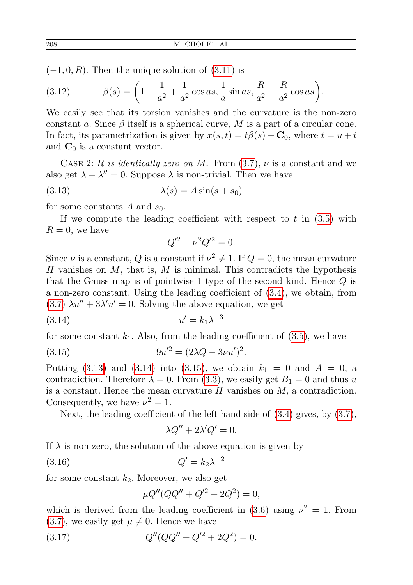$(-1, 0, R)$ . Then the unique solution of  $(3.11)$  is

(3.12) 
$$
\beta(s) = \left(1 - \frac{1}{a^2} + \frac{1}{a^2} \cos as, \frac{1}{a} \sin as, \frac{R}{a^2} - \frac{R}{a^2} \cos as\right).
$$

We easily see that its torsion vanishes and the curvature is the non-zero constant a. Since  $\beta$  itself is a spherical curve, M is a part of a circular cone. In fact, its parametrization is given by  $x(s, \bar{t}) = \bar{t}\beta(s) + \mathbf{C}_0$ , where  $\bar{t} = u + t$ and  $C_0$  is a constant vector.

CASE 2: R is identically zero on M. From  $(3.7)$ ,  $\nu$  is a constant and we also get  $\lambda + \lambda'' = 0$ . Suppose  $\lambda$  is non-trivial. Then we have

$$
\lambda(s) = A \sin(s + s_0)
$$

for some constants A and  $s_0$ .

If we compute the leading coefficient with respect to t in  $(3.5)$  with  $R=0$ , we have

<span id="page-5-1"></span><span id="page-5-0"></span>
$$
Q'^2 - \nu^2 Q'^2 = 0.
$$

Since  $\nu$  is a constant, Q is a constant if  $\nu^2 \neq 1$ . If  $Q = 0$ , the mean curvature H vanishes on  $M$ , that is,  $M$  is minimal. This contradicts the hypothesis that the Gauss map is of pointwise 1-type of the second kind. Hence Q is a non-zero constant. Using the leading coefficient of [\(3.4\)](#page-4-0), we obtain, from  $(3.7)$   $\lambda u'' + 3\lambda' u' = 0$ . Solving the above equation, we get

$$
(3.14) \t\t u' = k_1 \lambda^{-3}
$$

for some constant  $k_1$ . Also, from the leading coefficient of  $(3.5)$ , we have

(3.15) 
$$
9u'^2 = (2\lambda Q - 3\nu u')^2.
$$

Putting [\(3.13\)](#page-5-0) and [\(3.14\)](#page-5-1) into [\(3.15\)](#page-5-2), we obtain  $k_1 = 0$  and  $A = 0$ , a contradiction. Therefore  $\lambda = 0$ . From [\(3.3\)](#page-3-1), we easily get  $B_1 = 0$  and thus u is a constant. Hence the mean curvature  $H$  vanishes on  $M$ , a contradiction. Consequently, we have  $\nu^2 = 1$ .

Next, the leading coefficient of the left hand side of  $(3.4)$  gives, by  $(3.7)$ ,

<span id="page-5-3"></span><span id="page-5-2"></span>
$$
\lambda Q'' + 2\lambda' Q' = 0.
$$

If  $\lambda$  is non-zero, the solution of the above equation is given by

$$
(3.16)\t\t Q' = k_2 \lambda^{-2}
$$

for some constant  $k_2$ . Moreover, we also get

<span id="page-5-4"></span>
$$
\mu Q''(QQ'' + Q'^2 + 2Q^2) = 0,
$$

which is derived from the leading coefficient in  $(3.6)$  using  $\nu^2 = 1$ . From  $(3.7)$ , we easily get  $\mu \neq 0$ . Hence we have

(3.17) 
$$
Q''(QQ'' + Q'^2 + 2Q^2) = 0.
$$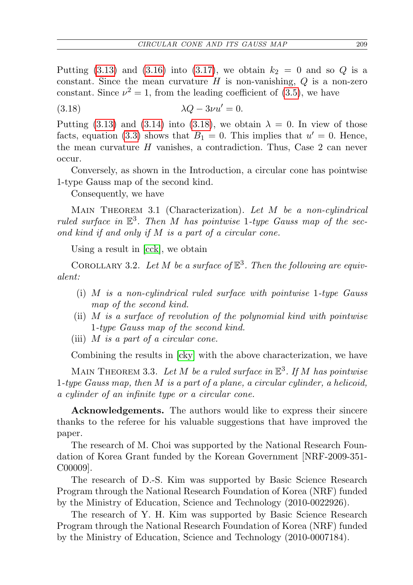Putting [\(3.13\)](#page-5-0) and [\(3.16\)](#page-5-3) into [\(3.17\)](#page-5-4), we obtain  $k_2 = 0$  and so Q is a constant. Since the mean curvature  $H$  is non-vanishing,  $Q$  is a non-zero constant. Since  $\nu^2 = 1$ , from the leading coefficient of [\(3.5\)](#page-4-2), we have

<span id="page-6-0"></span>(3.18)  $\lambda Q - 3\nu u' = 0.$ 

Putting [\(3.13\)](#page-5-0) and [\(3.14\)](#page-5-1) into [\(3.18\)](#page-6-0), we obtain  $\lambda = 0$ . In view of those facts, equation [\(3.3\)](#page-3-1) shows that  $B_1 = 0$ . This implies that  $u' = 0$ . Hence, the mean curvature H vanishes, a contradiction. Thus, Case 2 can never occur.

Conversely, as shown in the Introduction, a circular cone has pointwise 1-type Gauss map of the second kind.

Consequently, we have

MAIN THEOREM 3.1 (Characterization). Let M be a non-cylindrical ruled surface in  $\mathbb{E}^3$ . Then M has pointwise 1-type Gauss map of the second kind if and only if M is a part of a circular cone.

Using a result in [\[cck\]](#page-7-4), we obtain

COROLLARY 3.2. Let M be a surface of  $\mathbb{E}^3$ . Then the following are equivalent:

- (i) M is a non-cylindrical ruled surface with pointwise 1-type Gauss map of the second kind.
- (ii) M is a surface of revolution of the polynomial kind with pointwise 1-type Gauss map of the second kind.
- (iii)  $M$  is a part of a circular cone.

Combining the results in [\[cky\]](#page-7-6) with the above characterization, we have

MAIN THEOREM 3.3. Let M be a ruled surface in  $\mathbb{E}^3$ . If M has pointwise 1-type Gauss map, then M is a part of a plane, a circular cylinder, a helicoid, a cylinder of an infinite type or a circular cone.

Acknowledgements. The authors would like to express their sincere thanks to the referee for his valuable suggestions that have improved the paper.

The research of M. Choi was supported by the National Research Foundation of Korea Grant funded by the Korean Government [NRF-2009-351- C00009].

The research of D.-S. Kim was supported by Basic Science Research Program through the National Research Foundation of Korea (NRF) funded by the Ministry of Education, Science and Technology (2010-0022926).

The research of Y. H. Kim was supported by Basic Science Research Program through the National Research Foundation of Korea (NRF) funded by the Ministry of Education, Science and Technology (2010-0007184).